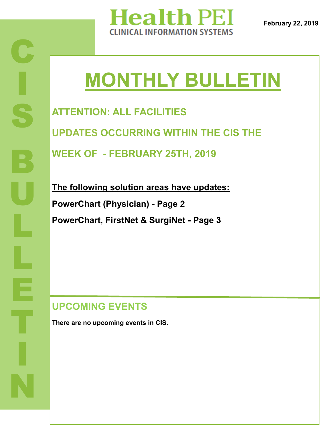

**February 22, 2019**

# **MONTHLY BULLETIN**

**ATTENTION: ALL FACILITIES UPDATES OCCURRING WITHIN THE CIS THE WEEK OF - FEBRUARY 25TH, 2019**

**The following solution areas have updates: PowerChart (Physician) - Page 2 PowerChart, FirstNet & SurgiNet - Page 3** 

## **UPCOMING EVENTS**

**There are no upcoming events in CIS.**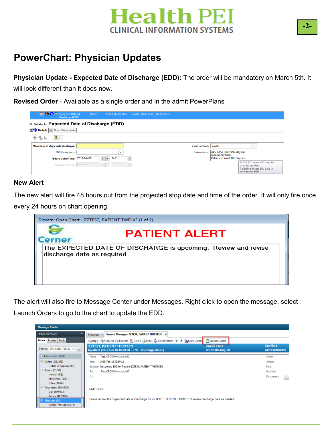# **Health PEI CLINICAL INFORMATION SYSTEMS**

### **PowerChart: Physician Updates**

**Physician Update - Expected Date of Discharge (EDD):** The order will be mandatory on March 5th. It will look different than it does now.

**Revised Order** - Available as a single order and in the admit PowerPlans

| <b>E H X B</b> Expected Date of<br>Discharge (EDD)                       | Order                  |                      |              | 2019-Feb-05 14:31 day(s), Start: 2019-Feb-05 14:31 |                                                 |                                                                                                       |  |  |  |
|--------------------------------------------------------------------------|------------------------|----------------------|--------------|----------------------------------------------------|-------------------------------------------------|-------------------------------------------------------------------------------------------------------|--|--|--|
| <b>z</b> Details for <b>Expected Date of Discharge</b> (EDD)             |                        |                      |              |                                                    |                                                 |                                                                                                       |  |  |  |
| Details   Order Comments                                                 |                        |                      |              |                                                    |                                                 |                                                                                                       |  |  |  |
| $\left\Vert \mathbf{0}\right\Vert \mathbf{0}$<br>$\frac{1}{2}$ line<br>÷ |                        |                      |              |                                                    |                                                 |                                                                                                       |  |  |  |
| "Number of days until discharge:                                         |                        |                      |              | Duration Unit: day(s)                              |                                                 | $\checkmark$                                                                                          |  |  |  |
| <b>EDD</b> Exceptions:                                                   |                        |                      | $\checkmark$ | Instructions:                                      | ALC-LTC: insert 100 days in<br>mandatory field. |                                                                                                       |  |  |  |
| *Start Date/Time: 2019-Feb-05                                            |                        | 수도<br>1431           | ÷            |                                                    | Palliative: insert 101 days in                  |                                                                                                       |  |  |  |
| Stop Date/Time:                                                          | $\cdots \cdots \cdots$ | $\frac{1}{\sqrt{2}}$ | ÷            |                                                    |                                                 | ALC-LTC: insert 100 days in<br>mandatory field.<br>Palliative: insert 101 days in<br>mandatory field. |  |  |  |
|                                                                          |                        |                      |              |                                                    |                                                 |                                                                                                       |  |  |  |

#### **New Alert**

The new alert will fire 48 hours out from the projected stop date and time of the order. It will only fire once every 24 hours on chart opening.



The alert will also fire to Message Center under Messages. Right click to open the message, select Launch Orders to go to the chart to update the EDD.

| <b>Message Center</b>                                                                                                                 |                                                                                                                                     |                                 |                           |  |  |  |  |
|---------------------------------------------------------------------------------------------------------------------------------------|-------------------------------------------------------------------------------------------------------------------------------------|---------------------------------|---------------------------|--|--|--|--|
| $\overline{a}$<br><b>Inbox Summary</b>                                                                                                | General Messages: ZZTEST, PATIENT THIRTEEN X<br>Messages X                                                                          |                                 |                           |  |  |  |  |
| Proxies Pools<br>Inbox                                                                                                                | B Reply B Reply All B Forward My Delete G Print   A Select Patient 全 导 B Mark Unread                                                | Launch Orders                   |                           |  |  |  |  |
| Display: Since 2014-Feb-12 v<br><b>Inches</b>                                                                                         | <b>ZZTEST, PATIENT THIRTEEN</b><br>Inpatient [2018-Dec-04 09:49:00 - <no -="" date="" discharge="">]</no>                           | Age:58 years<br>DOB:1960-May-30 | Sex:Male<br>MRN:888000859 |  |  |  |  |
| Inbox Items (958)                                                                                                                     | Test, CPOE Physician, MD<br>From:                                                                                                   |                                 | Caller:                   |  |  |  |  |
| □ Orders (203/203)                                                                                                                    | 2019-Feb-11 09:10:22<br>Sent:                                                                                                       |                                 | Action:                   |  |  |  |  |
| Orders to Approve (4/4)                                                                                                               | Upcoming EDD for Patient ZZTEST, PATIENT THIRTEEN<br>Subject:                                                                       | Due:                            |                           |  |  |  |  |
| <b>E</b> Results (53/58)                                                                                                              | Test, CPOE Physician, MD<br>To:                                                                                                     | Provider:                       |                           |  |  |  |  |
| Normal (0/1)                                                                                                                          | Cc:                                                                                                                                 |                                 | Document:                 |  |  |  |  |
| Abnormal (15/17)                                                                                                                      |                                                                                                                                     |                                 |                           |  |  |  |  |
| Other (38/40)<br>Documents (701/719)<br>Sign (599/613)<br>Review (102/106)<br>$\blacksquare$ Messages (1/3)<br>General Messages (1/3) | <add text=""><br/>Please review the Expected Date of Discharge for ZZTEST, PATIENT THIRTEEN, revise discharge date as needed.</add> |                                 |                           |  |  |  |  |